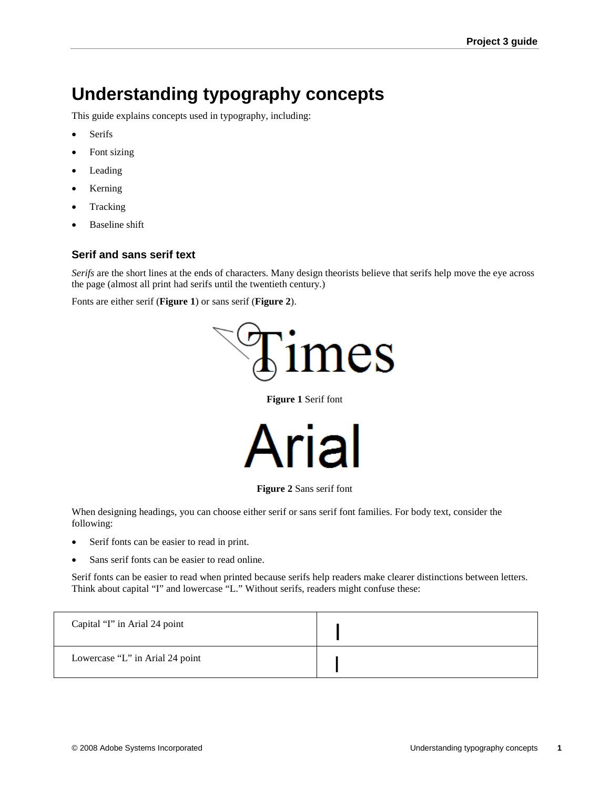# **Understanding typography concepts**

This guide explains concepts used in typography, including:

- **Serifs**
- Font sizing
- **Leading**
- Kerning
- Tracking
- Baseline shift

#### **Serif and sans serif text**

*Serifs* are the short lines at the ends of characters. Many design theorists believe that serifs help move the eye across the page (almost all print had serifs until the twentieth century.)

Fonts are either serif (**Figure 1**) or sans serif (**Figure 2**).



**Figure 1** Serif font



**Figure 2** Sans serif font

When designing headings, you can choose either serif or sans serif font families. For body text, consider the following:

- Serif fonts can be easier to read in print.
- Sans serif fonts can be easier to read online.

Serif fonts can be easier to read when printed because serifs help readers make clearer distinctions between letters. Think about capital "I" and lowercase "L." Without serifs, readers might confuse these:

| Capital "I" in Arial 24 point   |  |
|---------------------------------|--|
| Lowercase "L" in Arial 24 point |  |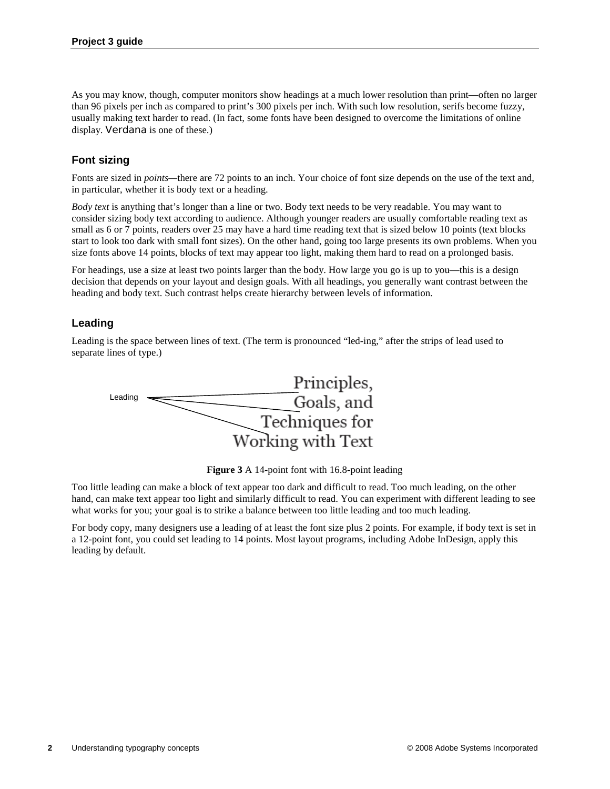As you may know, though, computer monitors show headings at a much lower resolution than print—often no larger than 96 pixels per inch as compared to print's 300 pixels per inch. With such low resolution, serifs become fuzzy, usually making text harder to read. (In fact, some fonts have been designed to overcome the limitations of online display. Verdana is one of these.)

# **Font sizing**

Fonts are sized in *points—*there are 72 points to an inch. Your choice of font size depends on the use of the text and, in particular, whether it is body text or a heading.

*Body text* is anything that's longer than a line or two. Body text needs to be very readable. You may want to consider sizing body text according to audience. Although younger readers are usually comfortable reading text as small as 6 or 7 points, readers over 25 may have a hard time reading text that is sized below 10 points (text blocks start to look too dark with small font sizes). On the other hand, going too large presents its own problems. When you size fonts above 14 points, blocks of text may appear too light, making them hard to read on a prolonged basis.

For headings, use a size at least two points larger than the body. How large you go is up to you—this is a design decision that depends on your layout and design goals. With all headings, you generally want contrast between the heading and body text. Such contrast helps create hierarchy between levels of information.

## **Leading**

Leading is the space between lines of text. (The term is pronounced "led-ing," after the strips of lead used to separate lines of type.)



**Figure 3** A 14-point font with 16.8-point leading

Too little leading can make a block of text appear too dark and difficult to read. Too much leading, on the other hand, can make text appear too light and similarly difficult to read. You can experiment with different leading to see what works for you; your goal is to strike a balance between too little leading and too much leading.

For body copy, many designers use a leading of at least the font size plus 2 points. For example, if body text is set in a 12-point font, you could set leading to 14 points. Most layout programs, including Adobe InDesign, apply this leading by default.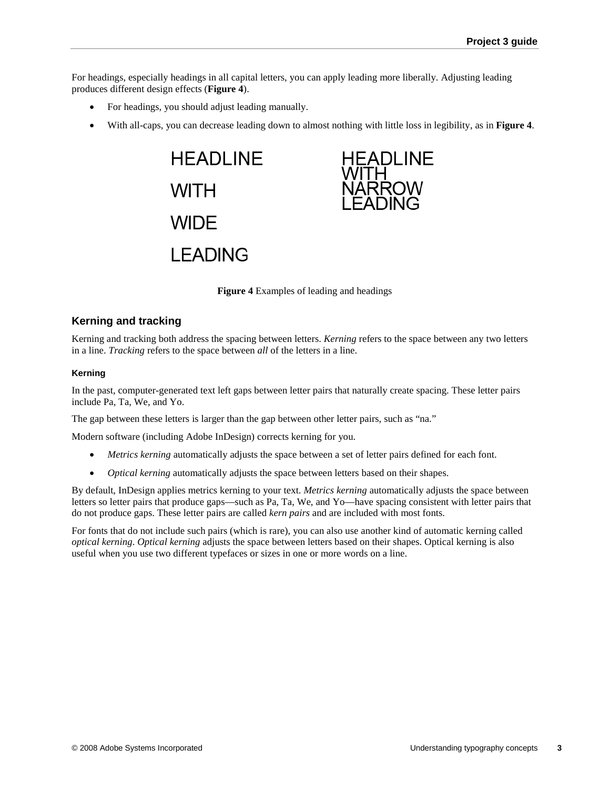For headings, especially headings in all capital letters, you can apply leading more liberally. Adjusting leading produces different design effects (**Figure 4**).

- For headings, you should adjust leading manually.
- With all-caps, you can decrease leading down to almost nothing with little loss in legibility, as in **Figure 4**.

**HEADLINE WITH WIDE LEADING** 



**Figure 4** Examples of leading and headings

#### **Kerning and tracking**

Kerning and tracking both address the spacing between letters. *Kerning* refers to the space between any two letters in a line. *Tracking* refers to the space between *all* of the letters in a line.

#### **Kerning**

In the past, computer-generated text left gaps between letter pairs that naturally create spacing. These letter pairs include Pa, Ta, We, and Yo.

The gap between these letters is larger than the gap between other letter pairs, such as "na."

Modern software (including Adobe InDesign) corrects kerning for you.

- *Metrics kerning* automatically adjusts the space between a set of letter pairs defined for each font.
- *Optical kerning* automatically adjusts the space between letters based on their shapes.

By default, InDesign applies metrics kerning to your text. *Metrics kerning* automatically adjusts the space between letters so letter pairs that produce gaps—such as Pa, Ta, We, and Yo—have spacing consistent with letter pairs that do not produce gaps. These letter pairs are called *kern pairs* and are included with most fonts.

For fonts that do not include such pairs (which is rare), you can also use another kind of automatic kerning called *optical kerning*. *Optical kerning* adjusts the space between letters based on their shapes. Optical kerning is also useful when you use two different typefaces or sizes in one or more words on a line.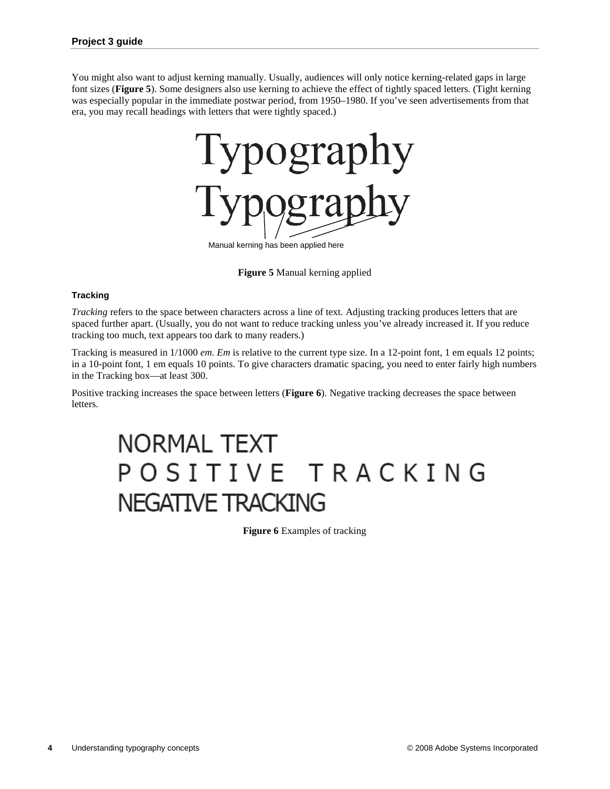You might also want to adjust kerning manually. Usually, audiences will only notice kerning-related gaps in large font sizes (**Figure 5**). Some designers also use kerning to achieve the effect of tightly spaced letters. (Tight kerning was especially popular in the immediate postwar period, from 1950–1980. If you've seen advertisements from that era, you may recall headings with letters that were tightly spaced.)



**Figure 5** Manual kerning applied

#### **Tracking**

*Tracking* refers to the space between characters across a line of text. Adjusting tracking produces letters that are spaced further apart. (Usually, you do not want to reduce tracking unless you've already increased it. If you reduce tracking too much, text appears too dark to many readers.)

Tracking is measured in 1/1000 *em*. *Em* is relative to the current type size. In a 12-point font, 1 em equals 12 points; in a 10-point font, 1 em equals 10 points. To give characters dramatic spacing, you need to enter fairly high numbers in the Tracking box—at least 300.

Positive tracking increases the space between letters (**Figure 6**). Negative tracking decreases the space between letters.

# **NORMAL TEXT** POSITIVE TRACKING **NEGATIVE TRACKING**

**Figure 6** Examples of tracking